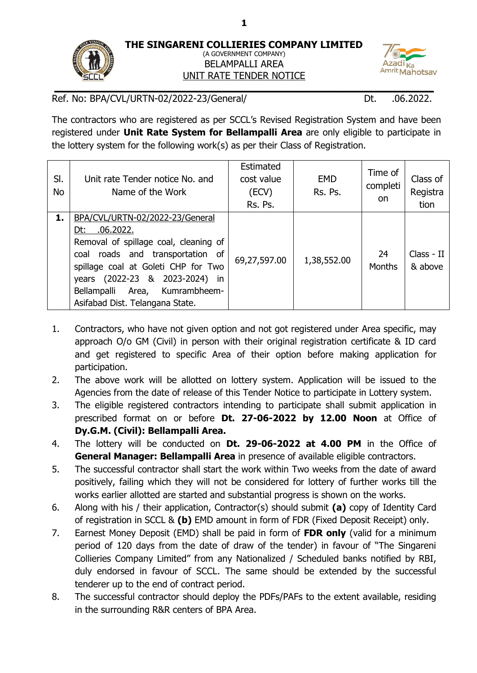**1**



## (A GOVERNMENT COMPANY) BELAMPALLI AREA UNIT RATE TENDER NOTICE



Ref. No: BPA/CVL/URTN-02/2022-23/General/ Dt. 06.2022.

The contractors who are registered as per SCCL's Revised Registration System and have been registered under **Unit Rate System for Bellampalli Area** are only eligible to participate in the lottery system for the following work(s) as per their Class of Registration.

| SI.<br>No | Unit rate Tender notice No. and<br>Name of the Work                                                                                                                                                                                                                               | Estimated<br>cost value<br>(ECV)<br>Rs. Ps. | <b>EMD</b><br>Rs. Ps. | Time of<br>completi<br>on. | Class of<br>Registra<br>tion |
|-----------|-----------------------------------------------------------------------------------------------------------------------------------------------------------------------------------------------------------------------------------------------------------------------------------|---------------------------------------------|-----------------------|----------------------------|------------------------------|
| 1.        | BPA/CVL/URTN-02/2022-23/General<br>.06.2022.<br>Dt:<br>Removal of spillage coal, cleaning of<br>coal roads and transportation of<br>spillage coal at Goleti CHP for Two<br>years (2022-23 & 2023-2024)<br>in<br>Bellampalli Area, Kumrambheem-<br>Asifabad Dist. Telangana State. | 69,27,597.00                                | 1,38,552.00           | 24<br><b>Months</b>        | Class - II<br>& above        |

- 1. Contractors, who have not given option and not got registered under Area specific, may approach O/o GM (Civil) in person with their original registration certificate & ID card and get registered to specific Area of their option before making application for participation.
- 2. The above work will be allotted on lottery system. Application will be issued to the Agencies from the date of release of this Tender Notice to participate in Lottery system.
- 3. The eligible registered contractors intending to participate shall submit application in prescribed format on or before **Dt. 27-06-2022 by 12.00 Noon** at Office of **Dy.G.M. (Civil): Bellampalli Area.**
- 4. The lottery will be conducted on **Dt. 29-06-2022 at 4.00 PM** in the Office of **General Manager: Bellampalli Area** in presence of available eligible contractors.
- 5. The successful contractor shall start the work within Two weeks from the date of award positively, failing which they will not be considered for lottery of further works till the works earlier allotted are started and substantial progress is shown on the works.
- 6. Along with his / their application, Contractor(s) should submit **(a)** copy of Identity Card of registration in SCCL & **(b)** EMD amount in form of FDR (Fixed Deposit Receipt) only.
- 7. Earnest Money Deposit (EMD) shall be paid in form of **FDR only** (valid for a minimum period of 120 days from the date of draw of the tender) in favour of "The Singareni Collieries Company Limited" from any Nationalized / Scheduled banks notified by RBI, duly endorsed in favour of SCCL. The same should be extended by the successful tenderer up to the end of contract period.
- 8. The successful contractor should deploy the PDFs/PAFs to the extent available, residing in the surrounding R&R centers of BPA Area.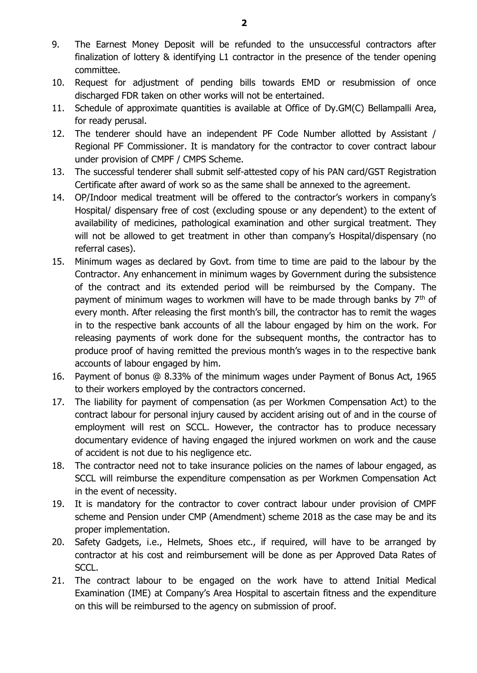- 9. The Earnest Money Deposit will be refunded to the unsuccessful contractors after finalization of lottery & identifying L1 contractor in the presence of the tender opening committee.
- 10. Request for adjustment of pending bills towards EMD or resubmission of once discharged FDR taken on other works will not be entertained.
- 11. Schedule of approximate quantities is available at Office of Dy.GM(C) Bellampalli Area, for ready perusal.
- 12. The tenderer should have an independent PF Code Number allotted by Assistant / Regional PF Commissioner. It is mandatory for the contractor to cover contract labour under provision of CMPF / CMPS Scheme.
- 13. The successful tenderer shall submit self-attested copy of his PAN card/GST Registration Certificate after award of work so as the same shall be annexed to the agreement.
- 14. OP/Indoor medical treatment will be offered to the contractor's workers in company's Hospital/ dispensary free of cost (excluding spouse or any dependent) to the extent of availability of medicines, pathological examination and other surgical treatment. They will not be allowed to get treatment in other than company's Hospital/dispensary (no referral cases).
- 15. Minimum wages as declared by Govt. from time to time are paid to the labour by the Contractor. Any enhancement in minimum wages by Government during the subsistence of the contract and its extended period will be reimbursed by the Company. The payment of minimum wages to workmen will have to be made through banks by  $7<sup>th</sup>$  of every month. After releasing the first month's bill, the contractor has to remit the wages in to the respective bank accounts of all the labour engaged by him on the work. For releasing payments of work done for the subsequent months, the contractor has to produce proof of having remitted the previous month's wages in to the respective bank accounts of labour engaged by him.
- 16. Payment of bonus @ 8.33% of the minimum wages under Payment of Bonus Act, 1965 to their workers employed by the contractors concerned.
- 17. The liability for payment of compensation (as per Workmen Compensation Act) to the contract labour for personal injury caused by accident arising out of and in the course of employment will rest on SCCL. However, the contractor has to produce necessary documentary evidence of having engaged the injured workmen on work and the cause of accident is not due to his negligence etc.
- 18. The contractor need not to take insurance policies on the names of labour engaged, as SCCL will reimburse the expenditure compensation as per Workmen Compensation Act in the event of necessity.
- 19. It is mandatory for the contractor to cover contract labour under provision of CMPF scheme and Pension under CMP (Amendment) scheme 2018 as the case may be and its proper implementation.
- 20. Safety Gadgets, i.e., Helmets, Shoes etc., if required, will have to be arranged by contractor at his cost and reimbursement will be done as per Approved Data Rates of SCCL.
- 21. The contract labour to be engaged on the work have to attend Initial Medical Examination (IME) at Company's Area Hospital to ascertain fitness and the expenditure on this will be reimbursed to the agency on submission of proof.